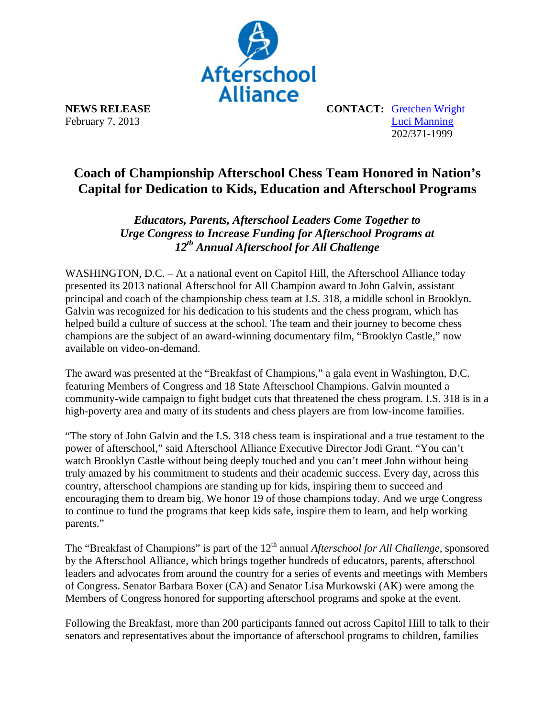

**NEWS RELEASE CONTACT:** Gretchen Wright February 7, 2013 Luci Manning 202/371-1999

## **Coach of Championship Afterschool Chess Team Honored in Nation's Capital for Dedication to Kids, Education and Afterschool Programs**

## *Educators, Parents, Afterschool Leaders Come Together to Urge Congress to Increase Funding for Afterschool Programs at 12th Annual Afterschool for All Challenge*

WASHINGTON, D.C. – At a national event on Capitol Hill, the Afterschool Alliance today presented its 2013 national Afterschool for All Champion award to John Galvin, assistant principal and coach of the championship chess team at I.S. 318, a middle school in Brooklyn. Galvin was recognized for his dedication to his students and the chess program, which has helped build a culture of success at the school. The team and their journey to become chess champions are the subject of an award-winning documentary film, "Brooklyn Castle," now available on video-on-demand.

The award was presented at the "Breakfast of Champions," a gala event in Washington, D.C. featuring Members of Congress and 18 State Afterschool Champions. Galvin mounted a community-wide campaign to fight budget cuts that threatened the chess program. I.S. 318 is in a high-poverty area and many of its students and chess players are from low-income families.

"The story of John Galvin and the I.S. 318 chess team is inspirational and a true testament to the power of afterschool," said Afterschool Alliance Executive Director Jodi Grant. "You can't watch Brooklyn Castle without being deeply touched and you can't meet John without being truly amazed by his commitment to students and their academic success. Every day, across this country, afterschool champions are standing up for kids, inspiring them to succeed and encouraging them to dream big. We honor 19 of those champions today. And we urge Congress to continue to fund the programs that keep kids safe, inspire them to learn, and help working parents."

The "Breakfast of Champions" is part of the 12<sup>th</sup> annual *Afterschool for All Challenge*, sponsored by the Afterschool Alliance, which brings together hundreds of educators, parents, afterschool leaders and advocates from around the country for a series of events and meetings with Members of Congress. Senator Barbara Boxer (CA) and Senator Lisa Murkowski (AK) were among the Members of Congress honored for supporting afterschool programs and spoke at the event.

Following the Breakfast, more than 200 participants fanned out across Capitol Hill to talk to their senators and representatives about the importance of afterschool programs to children, families